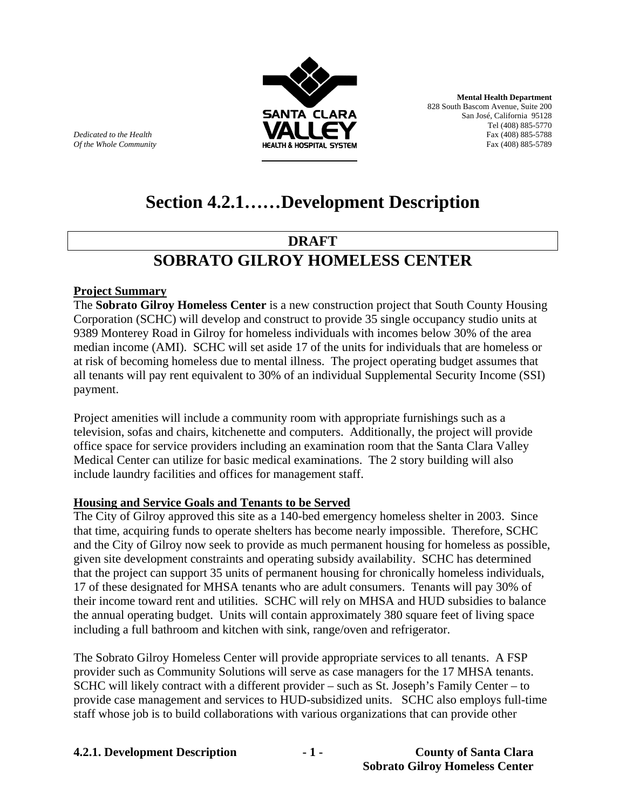

**Mental Health Department**  828 South Bascom Avenue, Suite 200 San José, California 95128 Tel (408) 885-5770<br>Fax (408) 885-5788 *Of the Whole Community* **Fax (408) 885-5789 HEALTH & HOSPITAL SYSTEM Fax (408) 885-5789** 

**Dedicated to the Health** 

# **Section 4.2.1……Development Description**

## **DRAFT**

## **SOBRATO GILROY HOMELESS CENTER**

### **Project Summary**

The **Sobrato Gilroy Homeless Center** is a new construction project that South County Housing Corporation (SCHC) will develop and construct to provide 35 single occupancy studio units at 9389 Monterey Road in Gilroy for homeless individuals with incomes below 30% of the area median income (AMI). SCHC will set aside 17 of the units for individuals that are homeless or at risk of becoming homeless due to mental illness. The project operating budget assumes that all tenants will pay rent equivalent to 30% of an individual Supplemental Security Income (SSI) payment.

Project amenities will include a community room with appropriate furnishings such as a television, sofas and chairs, kitchenette and computers. Additionally, the project will provide office space for service providers including an examination room that the Santa Clara Valley Medical Center can utilize for basic medical examinations. The 2 story building will also include laundry facilities and offices for management staff.

#### **Housing and Service Goals and Tenants to be Served**

The City of Gilroy approved this site as a 140-bed emergency homeless shelter in 2003. Since that time, acquiring funds to operate shelters has become nearly impossible. Therefore, SCHC and the City of Gilroy now seek to provide as much permanent housing for homeless as possible, given site development constraints and operating subsidy availability. SCHC has determined that the project can support 35 units of permanent housing for chronically homeless individuals, 17 of these designated for MHSA tenants who are adult consumers. Tenants will pay 30% of their income toward rent and utilities. SCHC will rely on MHSA and HUD subsidies to balance the annual operating budget. Units will contain approximately 380 square feet of living space including a full bathroom and kitchen with sink, range/oven and refrigerator.

The Sobrato Gilroy Homeless Center will provide appropriate services to all tenants. A FSP provider such as Community Solutions will serve as case managers for the 17 MHSA tenants. SCHC will likely contract with a different provider – such as St. Joseph's Family Center – to provide case management and services to HUD-subsidized units. SCHC also employs full-time staff whose job is to build collaborations with various organizations that can provide other

**4.2.1. Development Description - 1 - County of Santa Clara**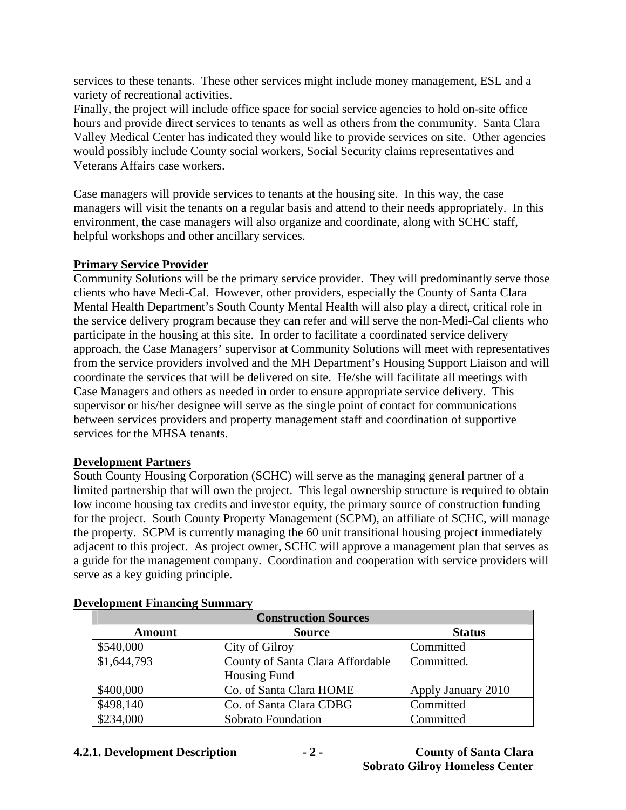services to these tenants. These other services might include money management, ESL and a variety of recreational activities.

Finally, the project will include office space for social service agencies to hold on-site office hours and provide direct services to tenants as well as others from the community. Santa Clara Valley Medical Center has indicated they would like to provide services on site. Other agencies would possibly include County social workers, Social Security claims representatives and Veterans Affairs case workers.

Case managers will provide services to tenants at the housing site. In this way, the case managers will visit the tenants on a regular basis and attend to their needs appropriately. In this environment, the case managers will also organize and coordinate, along with SCHC staff, helpful workshops and other ancillary services.

### **Primary Service Provider**

Community Solutions will be the primary service provider. They will predominantly serve those clients who have Medi-Cal. However, other providers, especially the County of Santa Clara Mental Health Department's South County Mental Health will also play a direct, critical role in the service delivery program because they can refer and will serve the non-Medi-Cal clients who participate in the housing at this site. In order to facilitate a coordinated service delivery approach, the Case Managers' supervisor at Community Solutions will meet with representatives from the service providers involved and the MH Department's Housing Support Liaison and will coordinate the services that will be delivered on site. He/she will facilitate all meetings with Case Managers and others as needed in order to ensure appropriate service delivery. This supervisor or his/her designee will serve as the single point of contact for communications between services providers and property management staff and coordination of supportive services for the MHSA tenants.

#### **Development Partners**

South County Housing Corporation (SCHC) will serve as the managing general partner of a limited partnership that will own the project. This legal ownership structure is required to obtain low income housing tax credits and investor equity, the primary source of construction funding for the project. South County Property Management (SCPM), an affiliate of SCHC, will manage the property. SCPM is currently managing the 60 unit transitional housing project immediately adjacent to this project. As project owner, SCHC will approve a management plan that serves as a guide for the management company. Coordination and cooperation with service providers will serve as a key guiding principle.

| <b>Construction Sources</b> |                                  |                    |  |
|-----------------------------|----------------------------------|--------------------|--|
| <b>Amount</b>               | <b>Source</b>                    | <b>Status</b>      |  |
| \$540,000                   | City of Gilroy                   | Committed          |  |
| \$1,644,793                 | County of Santa Clara Affordable | Committed.         |  |
|                             | <b>Housing Fund</b>              |                    |  |
| \$400,000                   | Co. of Santa Clara HOME          | Apply January 2010 |  |
| \$498,140                   | Co. of Santa Clara CDBG          | Committed          |  |
| \$234,000                   | Sobrato Foundation               | Committed          |  |

#### **Development Financing Summary**